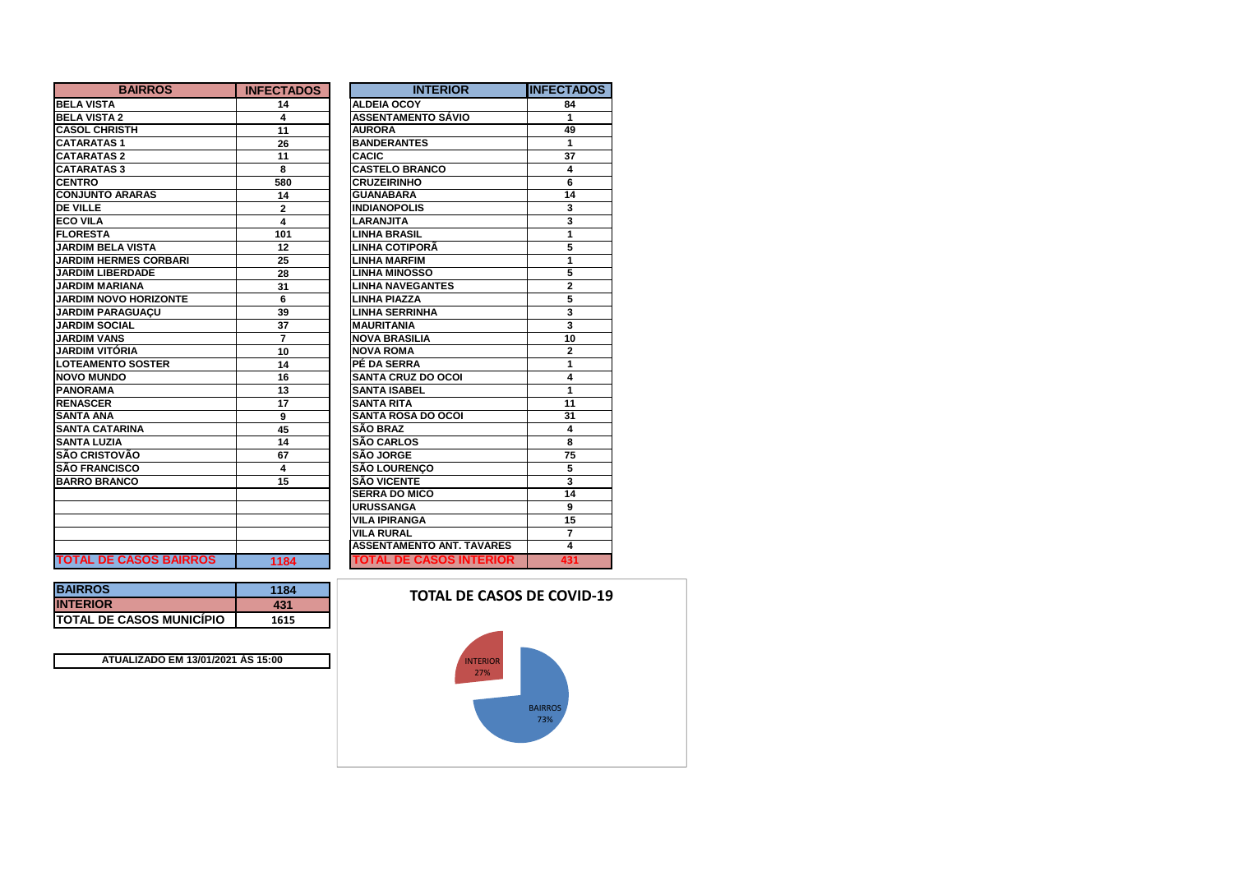| <b>BAIRROS</b>                | <b>INFECTADOS</b> | <b>INTERIOR</b>                  | IINFECTADOS    |
|-------------------------------|-------------------|----------------------------------|----------------|
| <b>BELA VISTA</b>             | 14                | <b>ALDEIA OCOY</b>               | 84             |
| <b>BELA VISTA 2</b>           | 4                 | <b>ASSENTAMENTO SÁVIO</b>        | 1              |
| <b>CASOL CHRISTH</b>          | 11                | <b>AURORA</b>                    | 49             |
| <b>CATARATAS1</b>             | 26                | <b>BANDERANTES</b>               | 1              |
| <b>CATARATAS 2</b>            | 11                | <b>CACIC</b>                     | 37             |
| <b>CATARATAS 3</b>            | 8                 | <b>CASTELO BRANCO</b>            | 4              |
| <b>CENTRO</b>                 | 580               | <b>CRUZEIRINHO</b>               | 6              |
| <b>CONJUNTO ARARAS</b>        | 14                | <b>GUANABARA</b>                 | 14             |
| <b>DE VILLE</b>               | $\overline{2}$    | <b>INDIANOPOLIS</b>              | 3              |
| <b>ECO VILA</b>               | 4                 | <b>LARANJITA</b>                 | 3              |
| <b>FLORESTA</b>               | 101               | <b>LINHA BRASIL</b>              | 1              |
| <b>JARDIM BELA VISTA</b>      | 12                | LINHA COTIPORÃ                   | 5              |
| <b>JARDIM HERMES CORBARI</b>  | 25                | <b>LINHA MARFIM</b>              | 1              |
| <b>JARDIM LIBERDADE</b>       | 28                | <b>LINHA MINOSSO</b>             | 5              |
| <b>JARDIM MARIANA</b>         | 31                | <b>LINHA NAVEGANTES</b>          | $\overline{2}$ |
| <b>JARDIM NOVO HORIZONTE</b>  | 6                 | <b>LINHA PIAZZA</b>              | 5              |
| <b>JARDIM PARAGUACU</b>       | 39                | <b>LINHA SERRINHA</b>            | 3              |
| <b>JARDIM SOCIAL</b>          | 37                | <b>MAURITANIA</b>                | 3              |
| <b>JARDIM VANS</b>            | 7                 | <b>NOVA BRASILIA</b>             | 10             |
| JARDIM VITÓRIA                | 10                | <b>NOVA ROMA</b>                 | $\overline{2}$ |
| <b>LOTEAMENTO SOSTER</b>      | 14                | PÉ DA SERRA                      | 1              |
| <b>NOVO MUNDO</b>             | 16                | <b>SANTA CRUZ DO OCOI</b>        | 4              |
| <b>PANORAMA</b>               | 13                | <b>SANTA ISABEL</b>              | 1              |
| <b>RENASCER</b>               | 17                | <b>SANTA RITA</b>                | 11             |
| <b>SANTA ANA</b>              | 9                 | <b>SANTA ROSA DO OCOI</b>        | 31             |
| <b>SANTA CATARINA</b>         | 45                | <b>SÃO BRAZ</b>                  | 4              |
| <b>SANTA LUZIA</b>            | 14                | <b>SÃO CARLOS</b>                | 8              |
| <b>SÃO CRISTOVÃO</b>          | 67                | <b>SÃO JORGE</b>                 | 75             |
| <b>SÃO FRANCISCO</b>          | 4                 | SÃO LOURENÇO                     | 5              |
| <b>BARRO BRANCO</b>           | 15                | <b>SÃO VICENTE</b>               | 3              |
|                               |                   | <b>SERRA DO MICO</b>             | 14             |
|                               |                   | <b>URUSSANGA</b>                 | 9              |
|                               |                   | <b>VILA IPIRANGA</b>             | 15             |
|                               |                   | <b>VILA RURAL</b>                | $\overline{7}$ |
|                               |                   | <b>ASSENTAMENTO ANT. TAVARES</b> | 4              |
| <b>TOTAL DE CASOS BAIRROS</b> | 1184              | <b>TOTAL DE CASOS INTERIOR</b>   | 431            |

| <b>BAIRROS</b>                   | 1184 |
|----------------------------------|------|
| <b>INTERIOR</b>                  | 431  |
| <b>ITOTAL DE CASOS MUNICÍPIO</b> | 1615 |

**BAIRROS**

**ATUALIZADO EM 13/01/2021 ÀS 15:00**

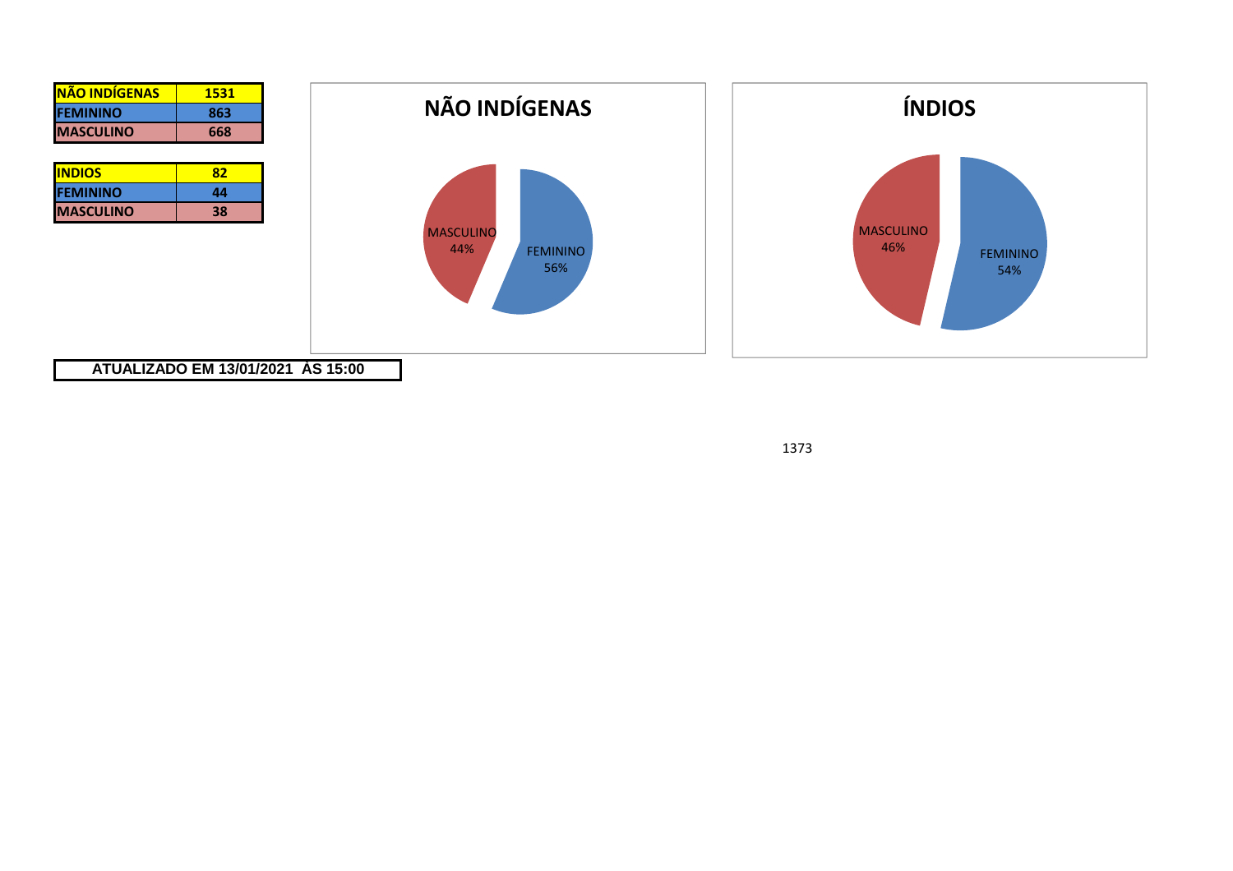

1373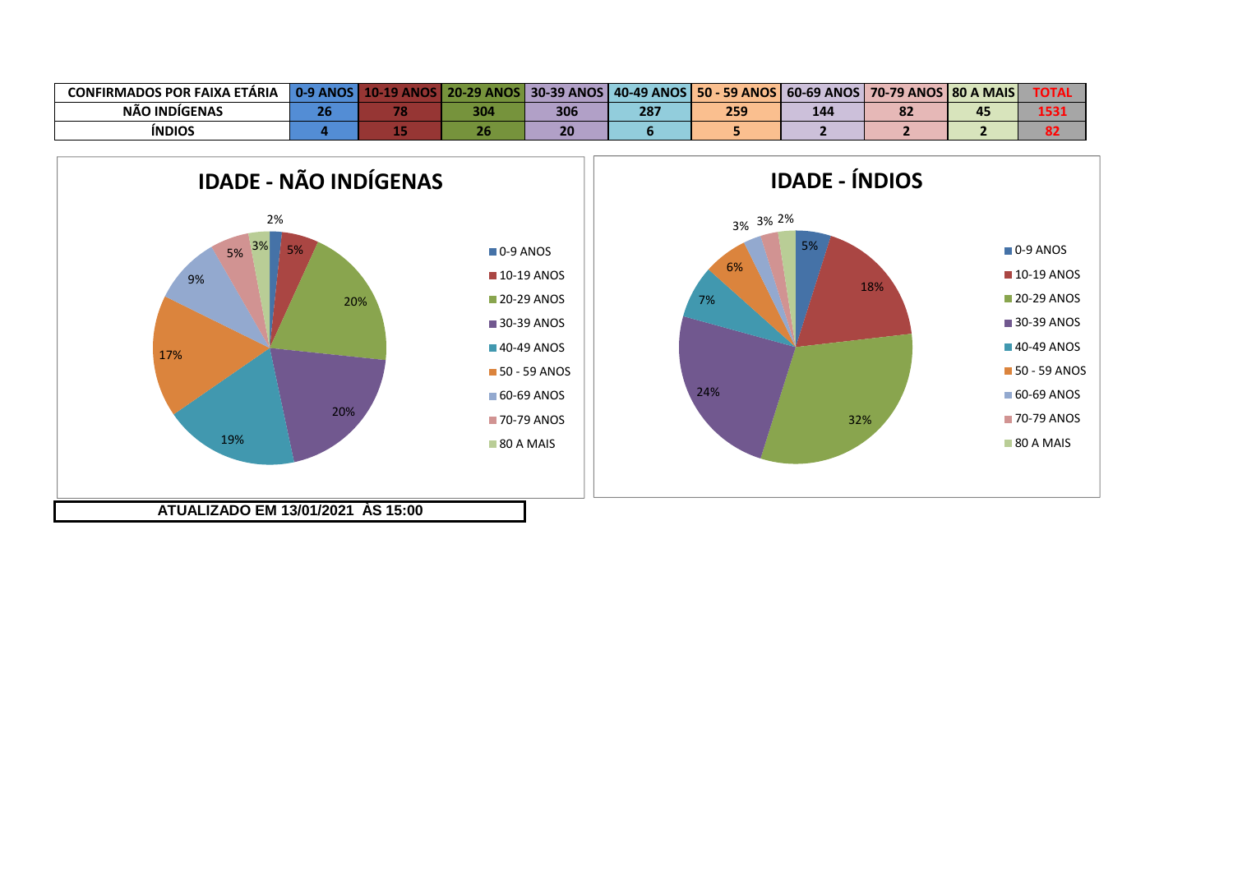| <b>CONFIRMADOS POR FAIXA ETÁRIA</b> | <b>0.9 ANOS</b> | 20.29<br><b>ANOS</b> | <b>30-39 ANOS</b> | 40-49 ANOS | <b>50 - 59 ANOS</b> | $\overline{60}$ -69 ANOS $\overline{6}$ | S   70-79 ANOS   80 A MAIS |    | TOTA. |
|-------------------------------------|-----------------|----------------------|-------------------|------------|---------------------|-----------------------------------------|----------------------------|----|-------|
| NÃO INDIGENAS                       |                 | 304                  | 306               | 287        | 259                 | 144                                     | OΖ                         | 45 | 4 F F |
| <b>INDIOS</b>                       |                 |                      |                   |            |                     |                                         |                            |    |       |

5%

18%

0-9 ANOS**10-19 ANOS 20-29 ANOS** 30-39 ANOS **40-49 ANOS 50 - 59 ANOS** 60-69 ANOS **70-79 ANOS** 80 A MAIS

32%

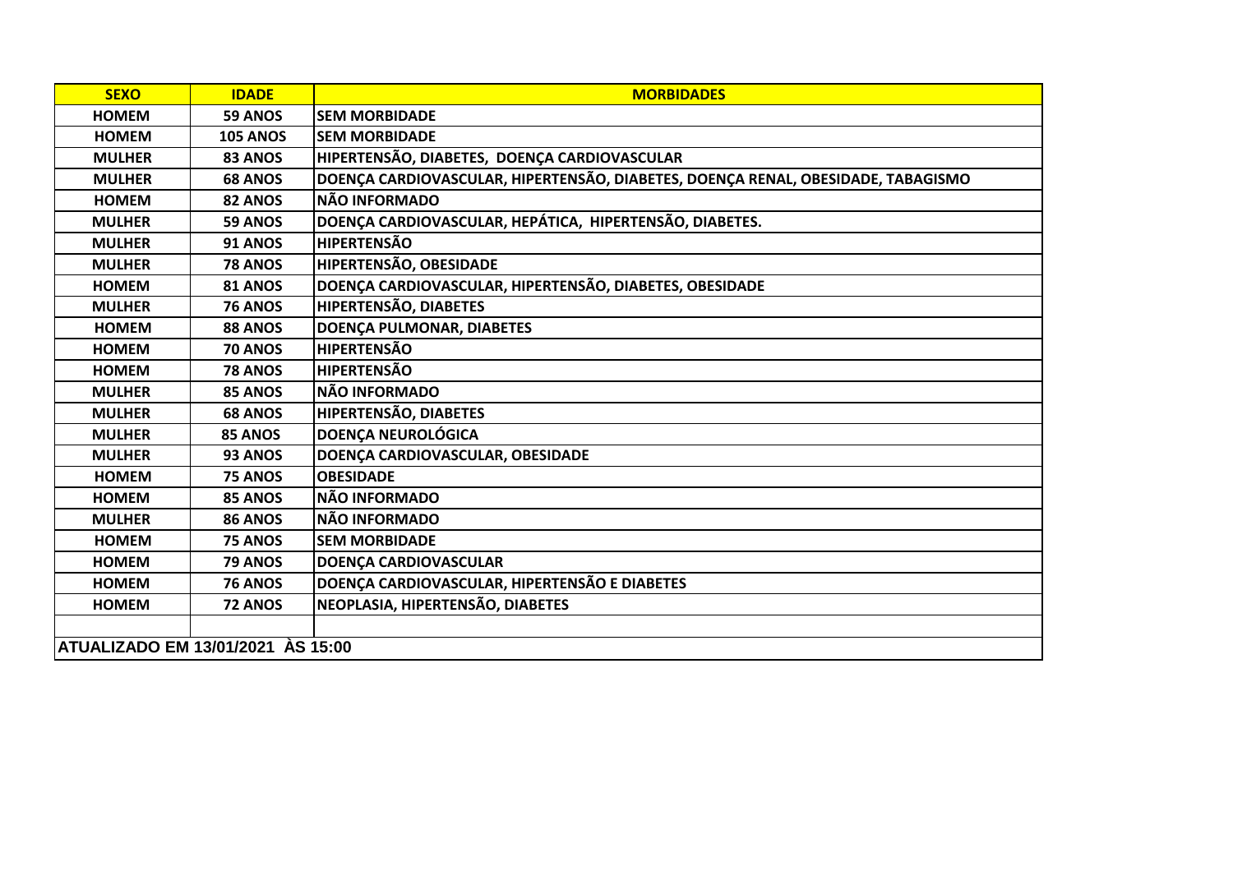| <b>SEXO</b>                              | <b>IDADE</b>    | <b>MORBIDADES</b>                                                                |
|------------------------------------------|-----------------|----------------------------------------------------------------------------------|
| <b>HOMEM</b>                             | 59 ANOS         | <b>SEM MORBIDADE</b>                                                             |
| <b>HOMEM</b>                             | <b>105 ANOS</b> | <b>SEM MORBIDADE</b>                                                             |
| <b>MULHER</b>                            | 83 ANOS         | HIPERTENSÃO, DIABETES, DOENÇA CARDIOVASCULAR                                     |
| <b>MULHER</b>                            | <b>68 ANOS</b>  | DOENÇA CARDIOVASCULAR, HIPERTENSÃO, DIABETES, DOENÇA RENAL, OBESIDADE, TABAGISMO |
| <b>HOMEM</b>                             | 82 ANOS         | NÃO INFORMADO                                                                    |
| <b>MULHER</b>                            | 59 ANOS         | DOENÇA CARDIOVASCULAR, HEPÁTICA, HIPERTENSÃO, DIABETES.                          |
| <b>MULHER</b>                            | <b>91 ANOS</b>  | <b>HIPERTENSÃO</b>                                                               |
| <b>MULHER</b>                            | <b>78 ANOS</b>  | HIPERTENSÃO, OBESIDADE                                                           |
| <b>HOMEM</b>                             | <b>81 ANOS</b>  | DOENÇA CARDIOVASCULAR, HIPERTENSÃO, DIABETES, OBESIDADE                          |
| <b>MULHER</b>                            | <b>76 ANOS</b>  | HIPERTENSÃO, DIABETES                                                            |
| <b>HOMEM</b>                             | 88 ANOS         | DOENÇA PULMONAR, DIABETES                                                        |
| <b>HOMEM</b>                             | <b>70 ANOS</b>  | <b>HIPERTENSÃO</b>                                                               |
| <b>HOMEM</b>                             | <b>78 ANOS</b>  | <b>HIPERTENSÃO</b>                                                               |
| <b>MULHER</b>                            | 85 ANOS         | <b>NÃO INFORMADO</b>                                                             |
| <b>MULHER</b>                            | <b>68 ANOS</b>  | HIPERTENSÃO, DIABETES                                                            |
| <b>MULHER</b>                            | 85 ANOS         | <b>DOENÇA NEUROLÓGICA</b>                                                        |
| <b>MULHER</b>                            | 93 ANOS         | DOENÇA CARDIOVASCULAR, OBESIDADE                                                 |
| <b>HOMEM</b>                             | <b>75 ANOS</b>  | <b>OBESIDADE</b>                                                                 |
| <b>HOMEM</b>                             | 85 ANOS         | NÃO INFORMADO                                                                    |
| <b>MULHER</b>                            | <b>86 ANOS</b>  | <b>NÃO INFORMADO</b>                                                             |
| <b>HOMEM</b>                             | 75 ANOS         | <b>SEM MORBIDADE</b>                                                             |
| <b>HOMEM</b>                             | 79 ANOS         | <b>DOENÇA CARDIOVASCULAR</b>                                                     |
| <b>HOMEM</b>                             | <b>76 ANOS</b>  | DOENÇA CARDIOVASCULAR, HIPERTENSÃO E DIABETES                                    |
| <b>HOMEM</b>                             | 72 ANOS         | NEOPLASIA, HIPERTENSÃO, DIABETES                                                 |
|                                          |                 |                                                                                  |
| <b>ATUALIZADO EM 13/01/2021 ÀS 15:00</b> |                 |                                                                                  |